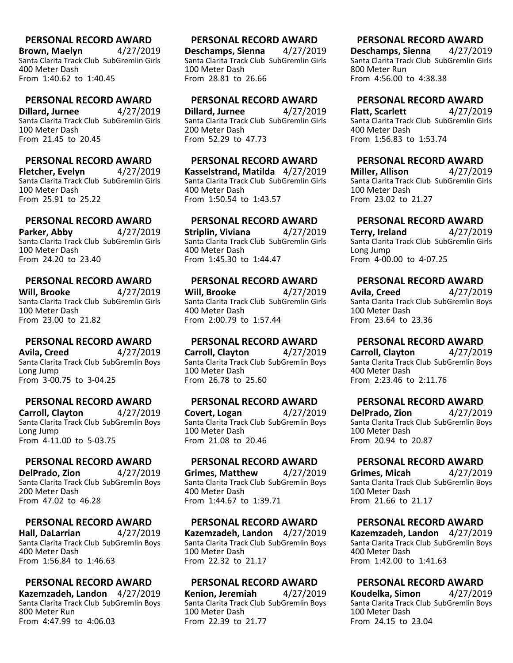**Brown, Maelyn** 4/27/2019 Santa Clarita Track Club SubGremlin Girls 400 Meter Dash From 1:40.62 to 1:40.45

## **PERSONAL RECORD AWARD**

**Dillard, Jurnee** 4/27/2019 Santa Clarita Track Club SubGremlin Girls 100 Meter Dash From 21.45 to 20.45

### **PERSONAL RECORD AWARD**

**Fletcher, Evelyn** 4/27/2019 Santa Clarita Track Club SubGremlin Girls 100 Meter Dash From 25.91 to 25.22

# **PERSONAL RECORD AWARD**

**Parker, Abby** 4/27/2019 Santa Clarita Track Club SubGremlin Girls 100 Meter Dash From 24.20 to 23.40

#### **PERSONAL RECORD AWARD**

**Will, Brooke** 4/27/2019 Santa Clarita Track Club SubGremlin Girls 100 Meter Dash From 23.00 to 21.82

#### **PERSONAL RECORD AWARD**

**Avila, Creed** 4/27/2019 Santa Clarita Track Club SubGremlin Boys Long Jump From 3-00.75 to 3-04.25

#### **PERSONAL RECORD AWARD**

**Carroll, Clayton** 4/27/2019 Santa Clarita Track Club SubGremlin Boys Long Jump From 4-11.00 to 5-03.75

#### **PERSONAL RECORD AWARD**

**DelPrado, Zion** 4/27/2019 Santa Clarita Track Club SubGremlin Boys 200 Meter Dash From 47.02 to 46.28

#### **PERSONAL RECORD AWARD**

**Hall, DaLarrian** 4/27/2019 Santa Clarita Track Club SubGremlin Boys 400 Meter Dash From 1:56.84 to 1:46.63

### **PERSONAL RECORD AWARD**

**Kazemzadeh, Landon** 4/27/2019 Santa Clarita Track Club SubGremlin Boys 800 Meter Run From 4:47.99 to 4:06.03

#### **PERSONAL RECORD AWARD**

**Deschamps, Sienna** 4/27/2019 Santa Clarita Track Club SubGremlin Girls 100 Meter Dash From 28.81 to 26.66

#### **PERSONAL RECORD AWARD**

**Dillard, Jurnee** 4/27/2019 Santa Clarita Track Club SubGremlin Girls 200 Meter Dash From 52.29 to 47.73

## **PERSONAL RECORD AWARD**

**Kasselstrand, Matilda** 4/27/2019 Santa Clarita Track Club SubGremlin Girls 400 Meter Dash From 1:50.54 to 1:43.57

# **PERSONAL RECORD AWARD**

**Striplin, Viviana** 4/27/2019 Santa Clarita Track Club SubGremlin Girls 400 Meter Dash From 1:45.30 to 1:44.47

#### **PERSONAL RECORD AWARD**

**Will, Brooke** 4/27/2019 Santa Clarita Track Club SubGremlin Girls 400 Meter Dash From 2:00.79 to 1:57.44

#### **PERSONAL RECORD AWARD**

**Carroll, Clayton** 4/27/2019 Santa Clarita Track Club SubGremlin Boys 100 Meter Dash From 26.78 to 25.60

### **PERSONAL RECORD AWARD**

**Covert, Logan** 4/27/2019 Santa Clarita Track Club SubGremlin Boys 100 Meter Dash From 21.08 to 20.46

#### **PERSONAL RECORD AWARD**

**Grimes, Matthew** 4/27/2019 Santa Clarita Track Club SubGremlin Boys 400 Meter Dash From 1:44.67 to 1:39.71

#### **PERSONAL RECORD AWARD**

**Kazemzadeh, Landon** 4/27/2019 Santa Clarita Track Club SubGremlin Boys 100 Meter Dash From 22.32 to 21.17

#### **PERSONAL RECORD AWARD**

**Kenion, Jeremiah** 4/27/2019 Santa Clarita Track Club SubGremlin Boys 100 Meter Dash From 22.39 to 21.77

## **PERSONAL RECORD AWARD**

**Deschamps, Sienna** 4/27/2019 Santa Clarita Track Club SubGremlin Girls 800 Meter Run From 4:56.00 to 4:38.38

#### **PERSONAL RECORD AWARD**

**Flatt, Scarlett** 4/27/2019 Santa Clarita Track Club SubGremlin Girls 400 Meter Dash From 1:56.83 to 1:53.74

#### **PERSONAL RECORD AWARD**

**Miller, Allison** 4/27/2019 Santa Clarita Track Club SubGremlin Girls 100 Meter Dash From 23.02 to 21.27

## **PERSONAL RECORD AWARD**

**Terry, Ireland** 4/27/2019 Santa Clarita Track Club SubGremlin Girls Long Jump From 4-00.00 to 4-07.25

#### **PERSONAL RECORD AWARD**

**Avila, Creed** 4/27/2019 Santa Clarita Track Club SubGremlin Boys 100 Meter Dash From 23.64 to 23.36

### **PERSONAL RECORD AWARD**

**Carroll, Clayton** 4/27/2019 Santa Clarita Track Club SubGremlin Boys 400 Meter Dash From 2:23.46 to 2:11.76

### **PERSONAL RECORD AWARD**

**DelPrado, Zion** 4/27/2019 Santa Clarita Track Club SubGremlin Boys 100 Meter Dash From 20.94 to 20.87

#### **PERSONAL RECORD AWARD**

**Grimes, Micah** 4/27/2019 Santa Clarita Track Club SubGremlin Boys 100 Meter Dash From 21.66 to 21.17

#### **PERSONAL RECORD AWARD**

**Kazemzadeh, Landon** 4/27/2019 Santa Clarita Track Club SubGremlin Boys 400 Meter Dash From 1:42.00 to 1:41.63

#### **PERSONAL RECORD AWARD**

**Koudelka, Simon** 4/27/2019 Santa Clarita Track Club SubGremlin Boys 100 Meter Dash From 24.15 to 23.04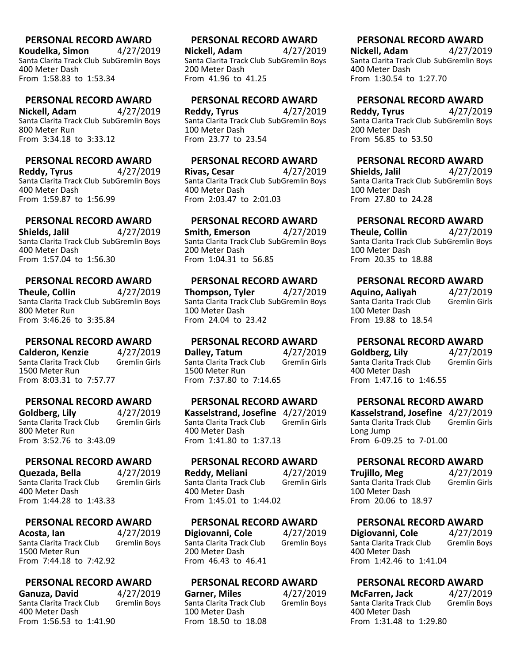**Koudelka, Simon** 4/27/2019 Santa Clarita Track Club SubGremlin Boys 400 Meter Dash From 1:58.83 to 1:53.34

#### **PERSONAL RECORD AWARD**

**Nickell, Adam** 4/27/2019 Santa Clarita Track Club SubGremlin Boys 800 Meter Run From 3:34.18 to 3:33.12

## **PERSONAL RECORD AWARD**

**Reddy, Tyrus** 4/27/2019 Santa Clarita Track Club SubGremlin Boys 400 Meter Dash From 1:59.87 to 1:56.99

# **PERSONAL RECORD AWARD**

**Shields, Jalil** 4/27/2019 Santa Clarita Track Club SubGremlin Boys 400 Meter Dash From 1:57.04 to 1:56.30

## **PERSONAL RECORD AWARD**

**Theule, Collin** 4/27/2019 Santa Clarita Track Club SubGremlin Boys 800 Meter Run From 3:46.26 to 3:35.84

### **PERSONAL RECORD AWARD**

**Calderon, Kenzie** 4/27/2019<br>Santa Clarita Track Club Gremlin Girls Santa Clarita Track Club 1500 Meter Run From 8:03.31 to 7:57.77

### **PERSONAL RECORD AWARD**

**Goldberg, Lily** 4/27/2019<br>Santa Clarita Track Club Gremlin Girls Santa Clarita Track Club 800 Meter Run From 3:52.76 to 3:43.09

#### **PERSONAL RECORD AWARD**

**Quezada, Bella** 4/27/2019 Santa Clarita Track Club 400 Meter Dash From 1:44.28 to 1:43.33

#### **PERSONAL RECORD AWARD**

**Acosta, Ian** 4/27/2019<br>Santa Clarita Track Club Gremlin Boys Santa Clarita Track Club 1500 Meter Run From 7:44.18 to 7:42.92

### **PERSONAL RECORD AWARD**

**Ganuza, David** 4/27/2019<br>Santa Clarita Track Club Gremlin Boys Santa Clarita Track Club 400 Meter Dash From 1:56.53 to 1:41.90

## **PERSONAL RECORD AWARD**

**Nickell, Adam** 4/27/2019 Santa Clarita Track Club SubGremlin Boys 200 Meter Dash From 41.96 to 41.25

#### **PERSONAL RECORD AWARD**

**Reddy, Tyrus** 4/27/2019 Santa Clarita Track Club SubGremlin Boys 100 Meter Dash From 23.77 to 23.54

## **PERSONAL RECORD AWARD**

**Rivas, Cesar** 4/27/2019 Santa Clarita Track Club SubGremlin Boys 400 Meter Dash From 2:03.47 to 2:01.03

## **PERSONAL RECORD AWARD**

**Smith, Emerson** 4/27/2019 Santa Clarita Track Club SubGremlin Boys 200 Meter Dash From 1:04.31 to 56.85

## **PERSONAL RECORD AWARD**

**Thompson, Tyler** 4/27/2019 Santa Clarita Track Club SubGremlin Boys 100 Meter Dash From 24.04 to 23.42

#### **PERSONAL RECORD AWARD**

**Dalley, Tatum** 4/27/2019<br>Santa Clarita Track Club Gremlin Girls Santa Clarita Track Club 1500 Meter Run From 7:37.80 to 7:14.65

### **PERSONAL RECORD AWARD**

**Kasselstrand, Josefine** 4/27/2019 Santa Clarita Track Club 400 Meter Dash From 1:41.80 to 1:37.13

#### **PERSONAL RECORD AWARD**

**Reddy, Meliani** 4/27/2019 Santa Clarita Track Club 400 Meter Dash From 1:45.01 to 1:44.02

#### **PERSONAL RECORD AWARD**

**Digiovanni, Cole** 4/27/2019<br>Santa Clarita Track Club Gremlin Boys Santa Clarita Track Club 200 Meter Dash From 46.43 to 46.41

#### **PERSONAL RECORD AWARD**

**Garner, Miles** 4/27/2019<br>Santa Clarita Track Club Gremlin Boys Santa Clarita Track Club 100 Meter Dash From 18.50 to 18.08

## **PERSONAL RECORD AWARD**

**Nickell, Adam** 4/27/2019 Santa Clarita Track Club SubGremlin Boys 400 Meter Dash From 1:30.54 to 1:27.70

## **PERSONAL RECORD AWARD**

**Reddy, Tyrus** 4/27/2019 Santa Clarita Track Club SubGremlin Boys 200 Meter Dash From 56.85 to 53.50

## **PERSONAL RECORD AWARD**

**Shields, Jalil** 4/27/2019 Santa Clarita Track Club SubGremlin Boys 100 Meter Dash From 27.80 to 24.28

# **PERSONAL RECORD AWARD**

**Theule, Collin** 4/27/2019 Santa Clarita Track Club SubGremlin Boys 100 Meter Dash From 20.35 to 18.88

# **PERSONAL RECORD AWARD**

**Aquino, Aaliyah** 4/27/2019 Santa Clarita Track Club 100 Meter Dash From 19.88 to 18.54

**PERSONAL RECORD AWARD**

**Goldberg, Lily** 4/27/2019 Santa Clarita Track Club Gremlin Girls 400 Meter Dash From 1:47.16 to 1:46.55

### **PERSONAL RECORD AWARD**

**Kasselstrand, Josefine** 4/27/2019 Santa Clarita Track Club Long Jump From 6-09.25 to 7-01.00

#### **PERSONAL RECORD AWARD**

| Trujillo, Meg            | 4/27/2019            |
|--------------------------|----------------------|
| Santa Clarita Track Club | <b>Gremlin Girls</b> |
| 100 Meter Dash           |                      |
| From 20.06 to 18.97      |                      |

#### **PERSONAL RECORD AWARD**

**Digiovanni, Cole** 4/27/2019<br>
Santa Clarita Track Club Gremlin Boys Santa Clarita Track Club 400 Meter Dash From 1:42.46 to 1:41.04

#### **PERSONAL RECORD AWARD**

**McFarren, Jack** 4/27/2019<br>
Santa Clarita Track Club Gremlin Boys Santa Clarita Track Club 400 Meter Dash From 1:31.48 to 1:29.80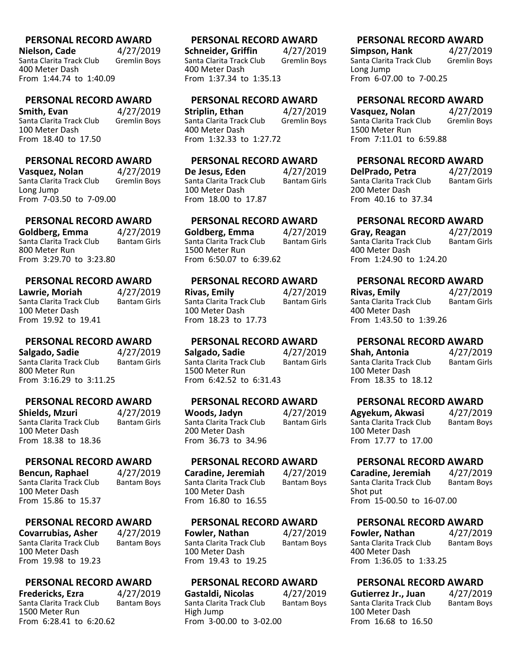**Nielson, Cade** 4/27/2019<br>Santa Clarita Track Club Gremlin Boys Santa Clarita Track Club 400 Meter Dash From 1:44.74 to 1:40.09

#### **PERSONAL RECORD AWARD**

**Smith, Evan** 4/27/2019<br>Santa Clarita Track Club Gremlin Boys Santa Clarita Track Club 100 Meter Dash From 18.40 to 17.50

### **PERSONAL RECORD AWARD**

**Vasquez, Nolan** 1/27/2019<br>Santa Clarita Track Club Gremlin Bovs Santa Clarita Track Club Long Jump From 7-03.50 to 7-09.00

#### **PERSONAL RECORD AWARD**

**Goldberg, Emma** 4/27/2019<br>Santa Clarita Track Club Bantam Girls Santa Clarita Track Club 800 Meter Run From 3:29.70 to 3:23.80

#### **PERSONAL RECORD AWARD**

**Lawrie, Moriah** 4/27/2019 Santa Clarita Track Club 100 Meter Dash From 19.92 to 19.41

#### **PERSONAL RECORD AWARD**

**Salgado, Sadie** 4/27/2019 Santa Clarita Track Club Bantam Girls 800 Meter Run From 3:16.29 to 3:11.25

**PERSONAL RECORD AWARD Shields, Mzuri** 4/27/2019<br>Santa Clarita Track Club Bantam Girls Santa Clarita Track Club 100 Meter Dash From 18.38 to 18.36

#### **PERSONAL RECORD AWARD**

**Bencun, Raphael**  $4/27/2019$ <br>Santa Clarita Track Club Bantam Boys Santa Clarita Track Club 100 Meter Dash From 15.86 to 15.37

#### **PERSONAL RECORD AWARD**

**Covarrubias, Asher** 4/27/2019<br>Santa Clarita Track Club Bantam Boys Santa Clarita Track Club 100 Meter Dash From 19.98 to 19.23

### **PERSONAL RECORD AWARD**

**Fredericks, Ezra** 4/27/2019<br>Santa Clarita Track Club Bantam Boys Santa Clarita Track Club 1500 Meter Run From 6:28.41 to 6:20.62

#### **PERSONAL RECORD AWARD**

**Schneider, Griffin** 4/27/2019<br>Santa Clarita Track Club Gremlin Boys Santa Clarita Track Club 400 Meter Dash From 1:37.34 to 1:35.13

#### **PERSONAL RECORD AWARD**

**Striplin, Ethan** 4/27/2019 Santa Clarita Track Club Gremlin Boys 400 Meter Dash From 1:32.33 to 1:27.72

## **PERSONAL RECORD AWARD**

**De Jesus, Eden** 4/27/2019<br>Santa Clarita Track Club Bantam Girls Santa Clarita Track Club 100 Meter Dash From 18.00 to 17.87

## **PERSONAL RECORD AWARD**

**Goldberg, Emma** 4/27/2019 Santa Clarita Track Club 1500 Meter Run From 6:50.07 to 6:39.62

#### **PERSONAL RECORD AWARD**

**Rivas, Emily** 4/27/2019 Santa Clarita Track Club 100 Meter Dash From 18.23 to 17.73

#### **PERSONAL RECORD AWARD**

**Salgado, Sadie 4/27/2019**<br>Santa Clarita Track Club Bantam Girls Santa Clarita Track Club 1500 Meter Run From 6:42.52 to 6:31.43

#### **PERSONAL RECORD AWARD**

Santa Clarita Track Club 200 Meter Dash From 36.73 to 34.96

#### **PERSONAL RECORD AWARD**

**Caradine, Jeremiah** 4/27/2019<br>Santa Clarita Track Club Bantam Boys Santa Clarita Track Club 100 Meter Dash From 16.80 to 16.55

#### **PERSONAL RECORD AWARD**

**Fowler, Nathan** 4/27/2019<br>Santa Clarita Track Club Bantam Boys Santa Clarita Track Club 100 Meter Dash From 19.43 to 19.25

#### **PERSONAL RECORD AWARD**

**Gastaldi, Nicolas** 4/27/2019<br>
Santa Clarita Track Club Bantam Boys Santa Clarita Track Club High Jump From 3-00.00 to 3-02.00

#### **PERSONAL RECORD AWARD**

**Simpson, Hank** 4/27/2019<br>
Santa Clarita Track Club Gremlin Boys Santa Clarita Track Club Long Jump From 6-07.00 to 7-00.25

## **PERSONAL RECORD AWARD**

**Vasquez, Nolan** 4/27/2019<br>
Santa Clarita Track Club Gremlin Boys Santa Clarita Track Club 1500 Meter Run From 7:11.01 to 6:59.88

## **PERSONAL RECORD AWARD**

**DelPrado, Petra**  $4/27/2019$ <br>Santa Clarita Track Club Bantam Girls Santa Clarita Track Club 200 Meter Dash From 40.16 to 37.34

# **PERSONAL RECORD AWARD**

**Gray, Reagan** 4/27/2019 Santa Clarita Track Club 400 Meter Dash From 1:24.90 to 1:24.20

## **PERSONAL RECORD AWARD**

**Rivas, Emily** 4/27/2019 Santa Clarita Track Club 400 Meter Dash From 1:43.50 to 1:39.26

## **PERSONAL RECORD AWARD**

**Shah, Antonia** (1/27/2019)<br>Santa Clarita Track Club (1) Bantam Girls Santa Clarita Track Club 100 Meter Dash From 18.35 to 18.12

## **PERSONAL RECORD AWARD**

**Agyekum, Akwasi** 4/27/2019<br>Santa Clarita Track Club Bantam Boys Santa Clarita Track Club 100 Meter Dash From 17.77 to 17.00

## **PERSONAL RECORD AWARD**

**Caradine, Jeremiah** 4/27/2019<br>Santa Clarita Track Club Bantam Boys Santa Clarita Track Club Shot put From 15-00.50 to 16-07.00

### **PERSONAL RECORD AWARD**

**Fowler, Nathan** 4/27/2019<br>Santa Clarita Track Club Bantam Boys Santa Clarita Track Club 400 Meter Dash From 1:36.05 to 1:33.25

## **PERSONAL RECORD AWARD**

| Gutierrez Jr., Juan      | 4/27/2019          |
|--------------------------|--------------------|
| Santa Clarita Track Club | <b>Bantam Boys</b> |
| 100 Meter Dash           |                    |
| From 16.68 to 16.50      |                    |

**Woods, Jadyn** 4/27/2019<br>Santa Clarita Track Club Bantam Girls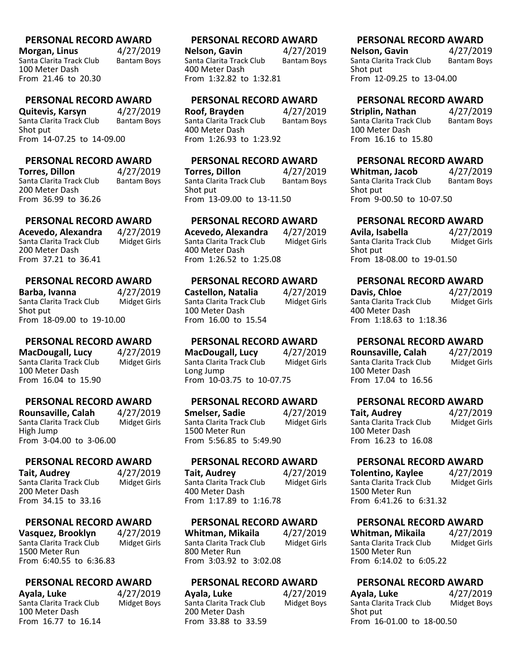**Morgan, Linus** 4/27/2019<br>Santa Clarita Track Club Bantam Boys Santa Clarita Track Club 100 Meter Dash From 21.46 to 20.30

## **PERSONAL RECORD AWARD**

**Quitevis, Karsyn** 4/27/2019<br>Santa Clarita Track Club Bantam Boys Santa Clarita Track Club Shot put From 14-07.25 to 14-09.00

#### **PERSONAL RECORD AWARD**

**Torres, Dillon 4/27/2019**<br>Santa Clarita Track Club Bantam Bovs Santa Clarita Track Club 200 Meter Dash From 36.99 to 36.26

# **PERSONAL RECORD AWARD**

**Acevedo, Alexandra** 4/27/2019 Santa Clarita Track Club 200 Meter Dash From 37.21 to 36.41

#### **PERSONAL RECORD AWARD**

**Barba, Ivanna** 1/27/2019<br>Santa Clarita Track Club Midget Girls Santa Clarita Track Club Shot put From 18-09.00 to 19-10.00

#### **PERSONAL RECORD AWARD**

**MacDougall, Lucy** 4/27/2019 Santa Clarita Track Club Midget Girls 100 Meter Dash From 16.04 to 15.90

#### **PERSONAL RECORD AWARD**

**Rounsaville, Calah** 4/27/2019<br>Santa Clarita Track Club Midget Girls Santa Clarita Track Club High Jump From 3-04.00 to 3-06.00

#### **PERSONAL RECORD AWARD**

**Tait, Audrey 4/27/2019**<br>Santa Clarita Track Club Midget Girls Santa Clarita Track Club 200 Meter Dash From 34.15 to 33.16

#### **PERSONAL RECORD AWARD**

**Vasquez, Brooklyn** 4/27/2019<br>Santa Clarita Track Club Midget Girls Santa Clarita Track Club 1500 Meter Run From 6:40.55 to 6:36.83

#### **PERSONAL RECORD AWARD**

**Ayala, Luke** 4/27/2019<br>Santa Clarita Track Club Midget Boys Santa Clarita Track Club 100 Meter Dash From 16.77 to 16.14

#### **PERSONAL RECORD AWARD**

**Nelson, Gavin** 4/27/2019<br>Santa Clarita Track Club Bantam Boys Santa Clarita Track Club 400 Meter Dash From 1:32.82 to 1:32.81

#### **PERSONAL RECORD AWARD**

**Roof, Brayden** 4/27/2019<br>Santa Clarita Track Club Bantam Boys Santa Clarita Track Club 400 Meter Dash From 1:26.93 to 1:23.92

## **PERSONAL RECORD AWARD**

**Torres, Dillon 4/27/2019**<br>Santa Clarita Track Club Bantam Bovs Santa Clarita Track Club Shot put From 13-09.00 to 13-11.50

## **PERSONAL RECORD AWARD**

**Acevedo, Alexandra** 4/27/2019 Santa Clarita Track Club 400 Meter Dash From 1:26.52 to 1:25.08

## **PERSONAL RECORD AWARD**

**Castellon, Natalia** 4/27/2019<br>Santa Clarita Track Club Midget Girls Santa Clarita Track Club 100 Meter Dash From 16.00 to 15.54

#### **PERSONAL RECORD AWARD**

**MacDougall, Lucy** 4/27/2019<br>Santa Clarita Track Club Midget Girls Santa Clarita Track Club Long Jump From 10-03.75 to 10-07.75

#### **PERSONAL RECORD AWARD**

**Smelser, Sadie 4/27/2019**<br>Santa Clarita Track Club Midget Girls Santa Clarita Track Club 1500 Meter Run From 5:56.85 to 5:49.90

#### **PERSONAL RECORD AWARD**

**Tait, Audrey** 4/27/2019<br>Santa Clarita Track Club Midget Girls Santa Clarita Track Club 400 Meter Dash From 1:17.89 to 1:16.78

#### **PERSONAL RECORD AWARD**

**Whitman, Mikaila** 4/27/2019<br>Santa Clarita Track Club Midget Girls Santa Clarita Track Club 800 Meter Run From 3:03.92 to 3:02.08

#### **PERSONAL RECORD AWARD**

**Ayala, Luke** 4/27/2019<br>Santa Clarita Track Club Midget Boys Santa Clarita Track Club 200 Meter Dash From 33.88 to 33.59

#### **PERSONAL RECORD AWARD**

**Nelson, Gavin** 4/27/2019<br>
Santa Clarita Track Club Bantam Boys Santa Clarita Track Club Shot put From 12-09.25 to 13-04.00

## **PERSONAL RECORD AWARD**

**Striplin, Nathan** 4/27/2019<br>Santa Clarita Track Club Bantam Boys Santa Clarita Track Club 100 Meter Dash From 16.16 to 15.80

## **PERSONAL RECORD AWARD**

**Whitman, Jacob** 4/27/2019<br>Santa Clarita Track Club Bantam Bovs Santa Clarita Track Club Shot put From 9-00.50 to 10-07.50

# **PERSONAL RECORD AWARD**

**Avila, Isabella** 4/27/2019<br>Santa Clarita Track Club Midget Girls Santa Clarita Track Club Shot put From 18-08.00 to 19-01.50

## **PERSONAL RECORD AWARD**

**Davis, Chloe** 4/27/2019<br>
Santa Clarita Track Club Midget Girls Santa Clarita Track Club 400 Meter Dash From 1:18.63 to 1:18.36

# **PERSONAL RECORD AWARD**

**Rounsaville, Calah** 4/27/2019<br>Santa Clarita Track Club Midget Girls Santa Clarita Track Club 100 Meter Dash From 17.04 to 16.56

## **PERSONAL RECORD AWARD**

**Tait, Audrey** 4/27/2019<br>Santa Clarita Track Club Midget Girls Santa Clarita Track Club 100 Meter Dash From 16.23 to 16.08

## **PERSONAL RECORD AWARD**

**Tolentino, Kaylee** 4/27/2019<br>Santa Clarita Track Club Midget Girls Santa Clarita Track Club 1500 Meter Run From 6:41.26 to 6:31.32

## **PERSONAL RECORD AWARD**

**Whitman, Mikaila** 4/27/2019<br>
Santa Clarita Track Club Midget Girls Santa Clarita Track Club 1500 Meter Run From 6:14.02 to 6:05.22

### **PERSONAL RECORD AWARD**

| Ayala, Luke               | 4/27/2019          |
|---------------------------|--------------------|
| Santa Clarita Track Club  | <b>Midget Boys</b> |
| Shot put                  |                    |
| From 16-01.00 to 18-00.50 |                    |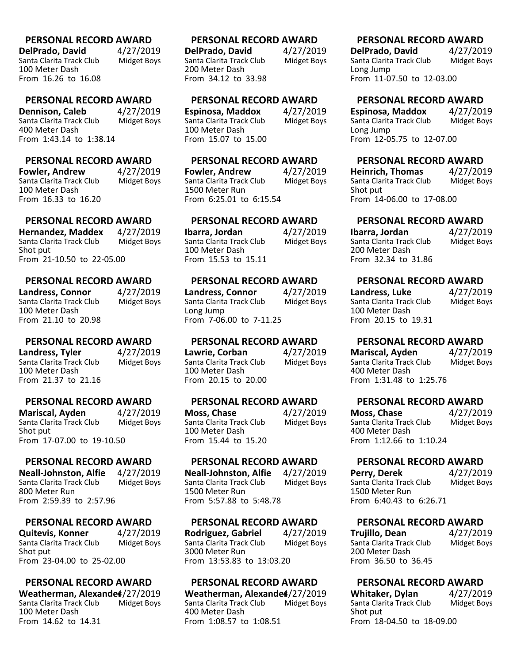**DelPrado, David** 4/27/2019<br>Santa Clarita Track Club Midget Boys Santa Clarita Track Club 100 Meter Dash From 16.26 to 16.08

#### **PERSONAL RECORD AWARD**

**Dennison, Caleb** 4/27/2019<br>Santa Clarita Track Club Midget Boys Santa Clarita Track Club 400 Meter Dash From 1:43.14 to 1:38.14

## **PERSONAL RECORD AWARD**

**Fowler, Andrew** 4/27/2019<br>Santa Clarita Track Club Midget Bovs Santa Clarita Track Club 100 Meter Dash From 16.33 to 16.20

## **PERSONAL RECORD AWARD**

**Hernandez, Maddex** 4/27/2019<br>Santa Clarita Track Club Midget Boys Santa Clarita Track Club Shot put From 21-10.50 to 22-05.00

#### **PERSONAL RECORD AWARD**

**Landress, Connor** 4/27/2019<br>Santa Clarita Track Club Midget Boys Santa Clarita Track Club 100 Meter Dash From 21.10 to 20.98

### **PERSONAL RECORD AWARD**

**Landress, Tyler** 4/27/2019 Santa Clarita Track Club Midget Boys 100 Meter Dash From 21.37 to 21.16

### **PERSONAL RECORD AWARD**

**Mariscal, Ayden** 4/27/2019<br>Santa Clarita Track Club Midget Boys Santa Clarita Track Club Shot put From 17-07.00 to 19-10.50

#### **PERSONAL RECORD AWARD**

**Neall-Johnston, Alfie** 4/27/2019 Santa Clarita Track Club 800 Meter Run From 2:59.39 to 2:57.96

#### **PERSONAL RECORD AWARD**

**Quitevis, Konner** 4/27/2019<br>Santa Clarita Track Club Midget Boys Santa Clarita Track Club Shot put From 23-04.00 to 25-02.00

## **PERSONAL RECORD AWARD**

**Weatherman, Alexande<sup>4</sup>/27/2019**<br>Santa Clarita Track Club Midget Boys Santa Clarita Track Club 100 Meter Dash From 14.62 to 14.31

#### **PERSONAL RECORD AWARD**

**DelPrado, David** 4/27/2019<br>Santa Clarita Track Club Midget Boys Santa Clarita Track Club 200 Meter Dash From 34.12 to 33.98

#### **PERSONAL RECORD AWARD**

**Espinosa, Maddox** 4/27/2019<br>Santa Clarita Track Club Midget Boys Santa Clarita Track Club 100 Meter Dash From 15.07 to 15.00

## **PERSONAL RECORD AWARD**

**Fowler, Andrew** 4/27/2019<br>Santa Clarita Track Club Midget Bovs Santa Clarita Track Club 1500 Meter Run From 6:25.01 to 6:15.54

## **PERSONAL RECORD AWARD**

**Ibarra, Jordan** 4/27/2019<br>Santa Clarita Track Club Midget Boys Santa Clarita Track Club 100 Meter Dash From 15.53 to 15.11

#### **PERSONAL RECORD AWARD**

**Landress, Connor** 4/27/2019<br>Santa Clarita Track Club Midget Boys Santa Clarita Track Club Long Jump From 7-06.00 to 7-11.25

#### **PERSONAL RECORD AWARD**

**Lawrie, Corban** 4/27/2019<br>Santa Clarita Track Club Midget Boys Santa Clarita Track Club 100 Meter Dash From 20.15 to 20.00

**PERSONAL RECORD AWARD**

**Moss, Chase** 4/27/2019<br>Santa Clarita Track Club Midget Boys Santa Clarita Track Club 100 Meter Dash From 15.44 to 15.20

## **PERSONAL RECORD AWARD**

**Neall-Johnston, Alfie** 4/27/2019 Santa Clarita Track Club 1500 Meter Run From 5:57.88 to 5:48.78

#### **PERSONAL RECORD AWARD**

**Rodriguez, Gabriel** 4/27/2019<br>Santa Clarita Track Club Midget Boys Santa Clarita Track Club 3000 Meter Run From 13:53.83 to 13:03.20

## **PERSONAL RECORD AWARD**

**Weatherman, Alexande4/27/2019**<br>Santa Clarita Track Club Midget Boys Santa Clarita Track Club 400 Meter Dash From 1:08.57 to 1:08.51

#### **PERSONAL RECORD AWARD**

**DelPrado, David** 4/27/2019<br>Santa Clarita Track Club Midget Boys Santa Clarita Track Club Long Jump From 11-07.50 to 12-03.00

## **PERSONAL RECORD AWARD**

**Espinosa, Maddox** 4/27/2019<br>Santa Clarita Track Club Midget Boys Santa Clarita Track Club Long Jump From 12-05.75 to 12-07.00

## **PERSONAL RECORD AWARD**

**Heinrich, Thomas** 4/27/2019<br>Santa Clarita Track Club Midget Boys Santa Clarita Track Club Shot put From 14-06.00 to 17-08.00

# **PERSONAL RECORD AWARD**

**Ibarra, Jordan** 4/27/2019<br>Santa Clarita Track Club Midget Boys Santa Clarita Track Club 200 Meter Dash From 32.34 to 31.86

## **PERSONAL RECORD AWARD**

**Landress, Luke** 4/27/2019<br>Santa Clarita Track Club Midget Boys Santa Clarita Track Club 100 Meter Dash From 20.15 to 19.31

## **PERSONAL RECORD AWARD**

**Mariscal, Ayden** 4/27/2019<br>Santa Clarita Track Club Midget Boys Santa Clarita Track Club 400 Meter Dash From 1:31.48 to 1:25.76

## **PERSONAL RECORD AWARD**

**Moss, Chase** 4/27/2019<br>
Santa Clarita Track Club Midget Boys Santa Clarita Track Club 400 Meter Dash From 1:12.66 to 1:10.24

## **PERSONAL RECORD AWARD**

**Perry, Derek** 4/27/2019<br>Santa Clarita Track Club Midget Boys Santa Clarita Track Club 1500 Meter Run From 6:40.43 to 6:26.71

## **PERSONAL RECORD AWARD**

**Trujillo, Dean** 4/27/2019<br>Santa Clarita Track Club Midget Boys Santa Clarita Track Club 200 Meter Dash From 36.50 to 36.45

## **PERSONAL RECORD AWARD**

**Whitaker, Dylan** 4/27/2019<br>Santa Clarita Track Club Midget Boys Santa Clarita Track Club Shot put From 18-04.50 to 18-09.00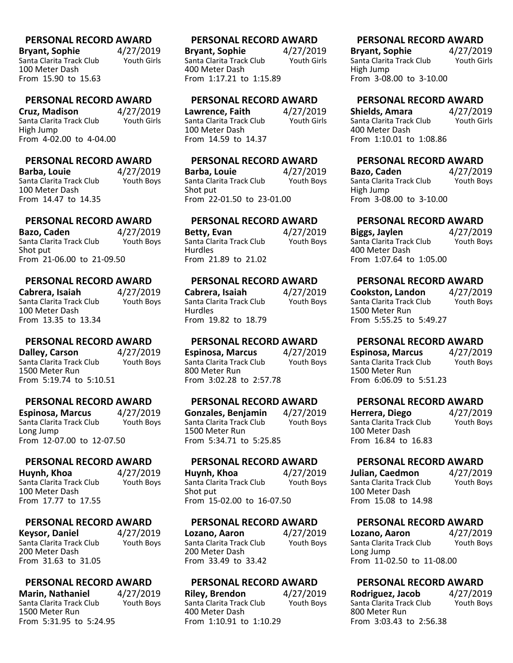**Bryant, Sophie 4/27/2019**<br>Santa Clarita Track Club Youth Girls Santa Clarita Track Club 100 Meter Dash From 15.90 to 15.63

**PERSONAL RECORD AWARD**

**Cruz, Madison** 4/27/2019<br>Santa Clarita Track Club Youth Girls Santa Clarita Track Club High Jump From 4-02.00 to 4-04.00

## **PERSONAL RECORD AWARD**

**Barba, Louie 4/27/2019**<br>Santa Clarita Track Club Youth Bovs Santa Clarita Track Club 100 Meter Dash From 14.47 to 14.35

## **PERSONAL RECORD AWARD**

**Bazo, Caden 4/27/2019**<br>Santa Clarita Track Club Youth Bovs Santa Clarita Track Club Shot put From 21-06.00 to 21-09.50

## **PERSONAL RECORD AWARD**

**Cabrera, Isaiah** 4/27/2019<br>Santa Clarita Track Club Youth Boys Santa Clarita Track Club 100 Meter Dash From 13.35 to 13.34

## **PERSONAL RECORD AWARD**

**Dalley, Carson** 4/27/2019 Santa Clarita Track Club Youth Boys 1500 Meter Run From 5:19.74 to 5:10.51

### **PERSONAL RECORD AWARD**

**Espinosa, Marcus** 4/27/2019<br>Santa Clarita Track Club Youth Boys Santa Clarita Track Club Long Jump From 12-07.00 to 12-07.50

## **PERSONAL RECORD AWARD**

**Huynh, Khoa** 4/27/2019<br>Santa Clarita Track Club Youth Boys Santa Clarita Track Club 100 Meter Dash From 17.77 to 17.55

# **PERSONAL RECORD AWARD**

**Keysor, Daniel** 4/27/2019<br>Santa Clarita Track Club Youth Boys Santa Clarita Track Club 200 Meter Dash From 31.63 to 31.05

## **PERSONAL RECORD AWARD**

**Marin, Nathaniel** 4/27/2019<br>Santa Clarita Track Club Youth Boys Santa Clarita Track Club 1500 Meter Run From 5:31.95 to 5:24.95

## **PERSONAL RECORD AWARD**

**Bryant, Sophie 4/27/2019**<br>Santa Clarita Track Club Youth Girls Santa Clarita Track Club 400 Meter Dash From 1:17.21 to 1:15.89

#### **PERSONAL RECORD AWARD**

**Lawrence, Faith** 4/27/2019<br>Santa Clarita Track Club Youth Girls Santa Clarita Track Club 100 Meter Dash From 14.59 to 14.37

## **PERSONAL RECORD AWARD**

**Barba, Louie 4/27/2019**<br>Santa Clarita Track Club Youth Bovs Santa Clarita Track Club Shot put From 22-01.50 to 23-01.00

## **PERSONAL RECORD AWARD**

**Betty, Evan** 4/27/2019<br>Santa Clarita Track Club Youth Bovs Santa Clarita Track Club Hurdles From 21.89 to 21.02

## **PERSONAL RECORD AWARD**

**Cabrera, Isaiah** 4/27/2019<br>Santa Clarita Track Club Youth Boys Santa Clarita Track Club **Hurdles** From 19.82 to 18.79

### **PERSONAL RECORD AWARD**

**Espinosa, Marcus** 4/27/2019 Santa Clarita Track Club Youth Boys 800 Meter Run From 3:02.28 to 2:57.78

### **PERSONAL RECORD AWARD**

**Gonzales, Benjamin** 4/27/2019 Santa Clarita Track Club 1500 Meter Run From 5:34.71 to 5:25.85

## **PERSONAL RECORD AWARD**

**Huynh, Khoa** 4/27/2019<br>Santa Clarita Track Club Youth Boys Santa Clarita Track Club Shot put From 15-02.00 to 16-07.50

### **PERSONAL RECORD AWARD**

**Lozano, Aaron** 4/27/2019<br>Santa Clarita Track Club Youth Boys Santa Clarita Track Club 200 Meter Dash From 33.49 to 33.42

### **PERSONAL RECORD AWARD**

**Riley, Brendon** 4/27/2019<br>Santa Clarita Track Club Youth Boys Santa Clarita Track Club 400 Meter Dash From 1:10.91 to 1:10.29

## **PERSONAL RECORD AWARD**

**Bryant, Sophie** 4/27/2019<br>
Santa Clarita Track Club Youth Girls Santa Clarita Track Club High Jump From 3-08.00 to 3-10.00

# **PERSONAL RECORD AWARD**

**Shields, Amara** 4/27/2019<br>
Santa Clarita Track Club Youth Girls Santa Clarita Track Club 400 Meter Dash From 1:10.01 to 1:08.86

# **PERSONAL RECORD AWARD**

**Bazo, Caden** 4/27/2019<br>Santa Clarita Track Club Youth Boys Santa Clarita Track Club High Jump From 3-08.00 to 3-10.00

# **PERSONAL RECORD AWARD**

**Biggs, Jaylen** 4/27/2019<br>Santa Clarita Track Club Youth Bovs Santa Clarita Track Club 400 Meter Dash From 1:07.64 to 1:05.00

# **PERSONAL RECORD AWARD**

**Cookston, Landon** 4/27/2019<br>
Santa Clarita Track Club Youth Boys Santa Clarita Track Club 1500 Meter Run From 5:55.25 to 5:49.27

# **PERSONAL RECORD AWARD**

**Espinosa, Marcus** 4/27/2019 Santa Clarita Track Club Youth Boys 1500 Meter Run From 6:06.09 to 5:51.23

# **PERSONAL RECORD AWARD**

**Herrera, Diego** 4/27/2019<br>
Santa Clarita Track Club Youth Boys Santa Clarita Track Club 100 Meter Dash From 16.84 to 16.83

# **PERSONAL RECORD AWARD**

**Julian, Caedmon** 4/27/2019<br>Santa Clarita Track Club Youth Boys Santa Clarita Track Club 100 Meter Dash From 15.08 to 14.98

# **PERSONAL RECORD AWARD**

**Lozano, Aaron** 4/27/2019<br>
Santa Clarita Track Club Youth Boys Santa Clarita Track Club Long Jump From 11-02.50 to 11-08.00

# **PERSONAL RECORD AWARD**

**Rodriguez, Jacob** 4/27/2019<br>
Santa Clarita Track Club Youth Boys Santa Clarita Track Club 800 Meter Run From 3:03.43 to 2:56.38